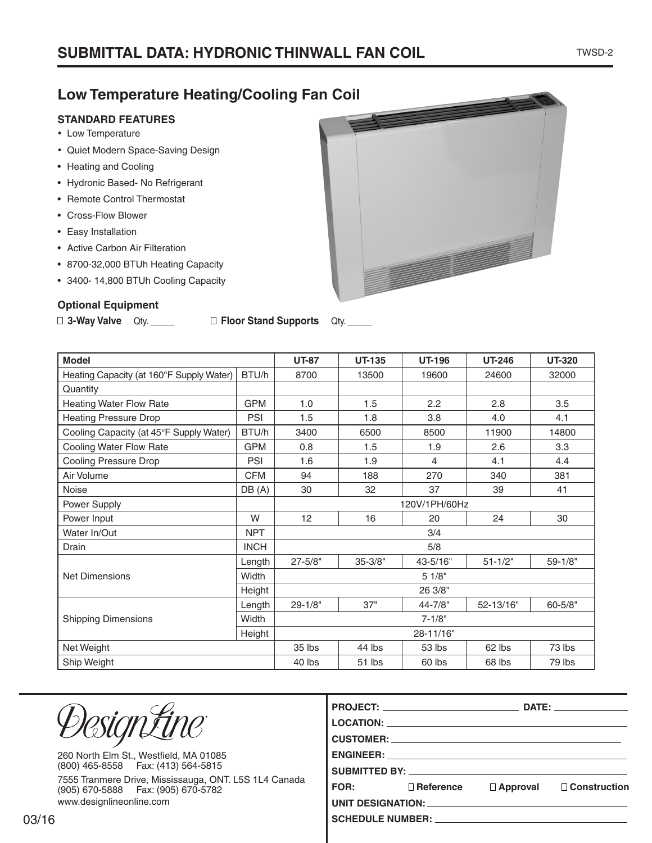#### TWSD-2

### **Low Temperature Heating/Cooling Fan Coil**

### **STANDARD FEATURES**

- Low Temperature
- • Quiet Modern Space-Saving Design
- Heating and Cooling
- Hydronic Based- No Refrigerant
- Remote Control Thermostat
- Cross-Flow Blower
- Easy Installation
- Active Carbon Air Filteration
- 8700-32,000 BTUh Heating Capacity
- 3400- 14,800 BTUh Cooling Capacity

#### **Optional Equipment**

| □ 3-Way Valve Qty. _____ |  | □ Floor Stand Supports Qty. _____ |  |
|--------------------------|--|-----------------------------------|--|
|--------------------------|--|-----------------------------------|--|

| <b>Model</b>                                      | <b>UT-87</b> | <b>UT-135</b> | <b>UT-196</b> | <b>UT-246</b> | <b>UT-320</b> |             |  |
|---------------------------------------------------|--------------|---------------|---------------|---------------|---------------|-------------|--|
| Heating Capacity (at 160°F Supply Water)<br>BTU/h |              | 8700          | 13500         | 19600         | 24600         | 32000       |  |
| Quantity                                          |              |               |               |               |               |             |  |
| <b>Heating Water Flow Rate</b>                    | <b>GPM</b>   | 1.0           | 1.5           | 2.2           | 2.8           | 3.5         |  |
| <b>Heating Pressure Drop</b>                      | PSI          | 1.5           | 1.8           | 3.8           | 4.0           | 4.1         |  |
| Cooling Capacity (at 45°F Supply Water)           | BTU/h        | 3400          | 6500          | 8500          | 11900         | 14800       |  |
| Cooling Water Flow Rate                           | <b>GPM</b>   | 0.8           | 1.5           | 1.9           | 2.6           | 3.3         |  |
| <b>Cooling Pressure Drop</b>                      | <b>PSI</b>   | 1.6           | 1.9           | 4             | 4.1           | 4.4         |  |
| Air Volume                                        | <b>CFM</b>   | 94            | 188           | 270           | 340           | 381         |  |
| Noise                                             | DB(A)        | 30            | 32            | 37            | 39            | 41          |  |
| Power Supply                                      |              | 120V/1PH/60Hz |               |               |               |             |  |
| Power Input                                       | W            | 12            | 16            | 20            | 24            | 30          |  |
| Water In/Out<br><b>NPT</b>                        |              | 3/4           |               |               |               |             |  |
| Drain                                             | <b>INCH</b>  | 5/8           |               |               |               |             |  |
|                                                   | Length       | $27 - 5/8"$   | $35 - 3/8"$   | 43-5/16"      | $51 - 1/2"$   | $59 - 1/8"$ |  |
| <b>Net Dimensions</b>                             | Width        | 51/8"         |               |               |               |             |  |
|                                                   | Height       | 26 3/8"       |               |               |               |             |  |
|                                                   | Length       | $29 - 1/8"$   | 37"           | 44-7/8"       | 52-13/16"     | $60 - 5/8"$ |  |
| <b>Shipping Dimensions</b>                        | <b>Width</b> | $7 - 1/8"$    |               |               |               |             |  |
|                                                   | Height       | 28-11/16"     |               |               |               |             |  |
| Net Weight                                        |              | 35 lbs        | 44 lbs        | 53 lbs        | 62 lbs        | 73 lbs      |  |
| Ship Weight                                       |              | 40 lbs        | 51 lbs        | 60 lbs        | 68 lbs        | 79 lbs      |  |

| <i>DesignÉine</i>                                                                             |                                                                                                                                                                                                                                                                          | LOCATION: Network and the contract of the contract of the contract of the contract of the contract of the contract of the contract of the contract of the contract of the contract of the contract of the contract of the cont<br>CUSTOMER: New York CONSTANT CONTROL CONTROL CONTROL CONTROL CONTROL CONTROL CONTROL CONTROL CONTROL CONTROL CONTROL CONTROL CONTROL CONTROL CONTROL CONTROL CONTROL CONTROL CONTROL CONTROL CONTROL CONTROL CONTROL CONTROL CO |                 | DATE: the contract of the contract of the contract of the contract of the contract of the contract of the contract of the contract of the contract of the contract of the contract of the contract of the contract of the cont |  |
|-----------------------------------------------------------------------------------------------|--------------------------------------------------------------------------------------------------------------------------------------------------------------------------------------------------------------------------------------------------------------------------|------------------------------------------------------------------------------------------------------------------------------------------------------------------------------------------------------------------------------------------------------------------------------------------------------------------------------------------------------------------------------------------------------------------------------------------------------------------|-----------------|--------------------------------------------------------------------------------------------------------------------------------------------------------------------------------------------------------------------------------|--|
| 260 North Elm St., Westfield, MA 01085<br>(800) 465-8558  Fax: (413) 564-5815                 | ENGINEER: The contract of the contract of the contract of the contract of the contract of the contract of the contract of the contract of the contract of the contract of the contract of the contract of the contract of the<br>SUBMITTED BY: _________________________ |                                                                                                                                                                                                                                                                                                                                                                                                                                                                  |                 |                                                                                                                                                                                                                                |  |
| 7555 Tranmere Drive, Mississauga, ONT. L5S 1L4 Canada<br>(905) 670-5888   Fax: (905) 670-5782 | FOR:                                                                                                                                                                                                                                                                     | $\Box$ Reference                                                                                                                                                                                                                                                                                                                                                                                                                                                 | $\Box$ Approval | $\Box$ Construction                                                                                                                                                                                                            |  |
| www.designlineonline.com                                                                      | UNIT DESIGNATION: UNIT AND DESIGNATION:                                                                                                                                                                                                                                  |                                                                                                                                                                                                                                                                                                                                                                                                                                                                  |                 |                                                                                                                                                                                                                                |  |
|                                                                                               | SCHEDULE NUMBER: VALUE AND THE SCHEDULE NUMBER:                                                                                                                                                                                                                          |                                                                                                                                                                                                                                                                                                                                                                                                                                                                  |                 |                                                                                                                                                                                                                                |  |